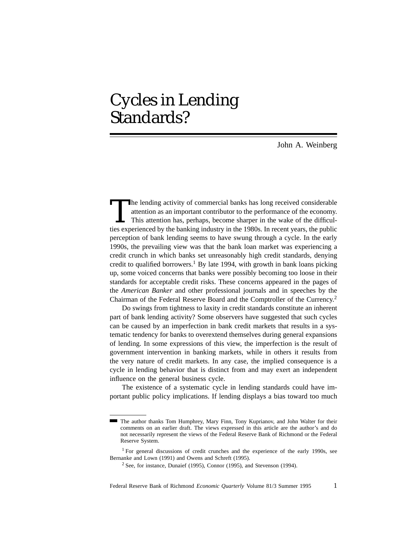# Cycles in Lending Standards?

John A. Weinberg

The lending activity of commercial banks has long received considerable attention as an important contributor to the performance of the economy.<br>This attention has, perhaps, become sharper in the wake of the difficulties e attention as an important contributor to the performance of the economy. This attention has, perhaps, become sharper in the wake of the difficulties experienced by the banking industry in the 1980s. In recent years, the public perception of bank lending seems to have swung through a cycle. In the early 1990s, the prevailing view was that the bank loan market was experiencing a credit crunch in which banks set unreasonably high credit standards, denying credit to qualified borrowers.<sup>1</sup> By late 1994, with growth in bank loans picking up, some voiced concerns that banks were possibly becoming too loose in their standards for acceptable credit risks. These concerns appeared in the pages of the *American Banker* and other professional journals and in speeches by the Chairman of the Federal Reserve Board and the Comptroller of the Currency.2

Do swings from tightness to laxity in credit standards constitute an inherent part of bank lending activity? Some observers have suggested that such cycles can be caused by an imperfection in bank credit markets that results in a systematic tendency for banks to overextend themselves during general expansions of lending. In some expressions of this view, the imperfection is the result of government intervention in banking markets, while in others it results from the very nature of credit markets. In any case, the implied consequence is a cycle in lending behavior that is distinct from and may exert an independent influence on the general business cycle.

The existence of a systematic cycle in lending standards could have important public policy implications. If lending displays a bias toward too much

The author thanks Tom Humphrey, Mary Finn, Tony Kuprianov, and John Walter for their comments on an earlier draft. The views expressed in this article are the author's and do not necessarily represent the views of the Federal Reserve Bank of Richmond or the Federal Reserve System.

<sup>&</sup>lt;sup>1</sup> For general discussions of credit crunches and the experience of the early 1990s, see Bernanke and Lown (1991) and Owens and Schreft (1995).

 $2$  See, for instance, Dunaief (1995), Connor (1995), and Stevenson (1994).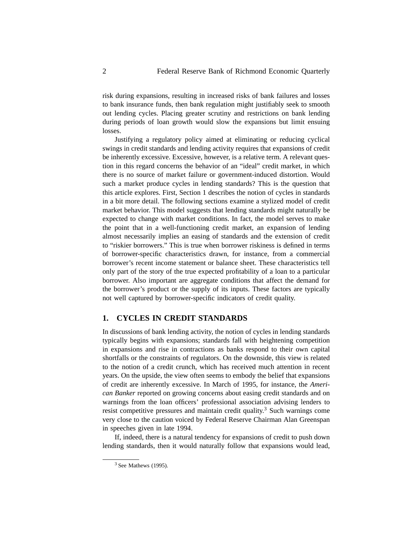risk during expansions, resulting in increased risks of bank failures and losses to bank insurance funds, then bank regulation might justifiably seek to smooth out lending cycles. Placing greater scrutiny and restrictions on bank lending during periods of loan growth would slow the expansions but limit ensuing losses.

Justifying a regulatory policy aimed at eliminating or reducing cyclical swings in credit standards and lending activity requires that expansions of credit be inherently excessive. Excessive, however, is a relative term. A relevant question in this regard concerns the behavior of an "ideal" credit market, in which there is no source of market failure or government-induced distortion. Would such a market produce cycles in lending standards? This is the question that this article explores. First, Section 1 describes the notion of cycles in standards in a bit more detail. The following sections examine a stylized model of credit market behavior. This model suggests that lending standards might naturally be expected to change with market conditions. In fact, the model serves to make the point that in a well-functioning credit market, an expansion of lending almost necessarily implies an easing of standards and the extension of credit to "riskier borrowers." This is true when borrower riskiness is defined in terms of borrower-specific characteristics drawn, for instance, from a commercial borrower's recent income statement or balance sheet. These characteristics tell only part of the story of the true expected profitability of a loan to a particular borrower. Also important are aggregate conditions that affect the demand for the borrower's product or the supply of its inputs. These factors are typically not well captured by borrower-specific indicators of credit quality.

## **1. CYCLES IN CREDIT STANDARDS**

In discussions of bank lending activity, the notion of cycles in lending standards typically begins with expansions; standards fall with heightening competition in expansions and rise in contractions as banks respond to their own capital shortfalls or the constraints of regulators. On the downside, this view is related to the notion of a credit crunch, which has received much attention in recent years. On the upside, the view often seems to embody the belief that expansions of credit are inherently excessive. In March of 1995, for instance, the *American Banker* reported on growing concerns about easing credit standards and on warnings from the loan officers' professional association advising lenders to resist competitive pressures and maintain credit quality.<sup>3</sup> Such warnings come very close to the caution voiced by Federal Reserve Chairman Alan Greenspan in speeches given in late 1994.

If, indeed, there is a natural tendency for expansions of credit to push down lending standards, then it would naturally follow that expansions would lead,

 $3$  See Mathews (1995).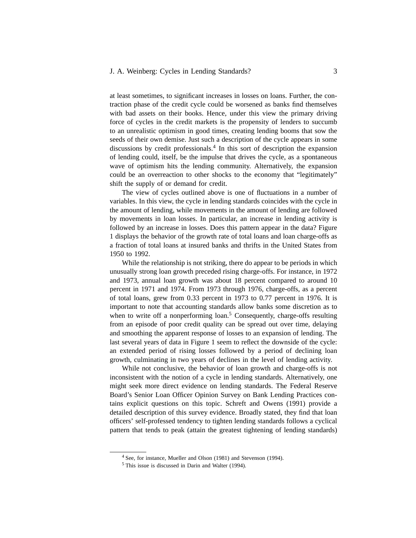at least sometimes, to significant increases in losses on loans. Further, the contraction phase of the credit cycle could be worsened as banks find themselves with bad assets on their books. Hence, under this view the primary driving force of cycles in the credit markets is the propensity of lenders to succumb to an unrealistic optimism in good times, creating lending booms that sow the seeds of their own demise. Just such a description of the cycle appears in some discussions by credit professionals.4 In this sort of description the expansion of lending could, itself, be the impulse that drives the cycle, as a spontaneous wave of optimism hits the lending community. Alternatively, the expansion could be an overreaction to other shocks to the economy that "legitimately" shift the supply of or demand for credit.

The view of cycles outlined above is one of fluctuations in a number of variables. In this view, the cycle in lending standards coincides with the cycle in the amount of lending, while movements in the amount of lending are followed by movements in loan losses. In particular, an increase in lending activity is followed by an increase in losses. Does this pattern appear in the data? Figure 1 displays the behavior of the growth rate of total loans and loan charge-offs as a fraction of total loans at insured banks and thrifts in the United States from 1950 to 1992.

While the relationship is not striking, there do appear to be periods in which unusually strong loan growth preceded rising charge-offs. For instance, in 1972 and 1973, annual loan growth was about 18 percent compared to around 10 percent in 1971 and 1974. From 1973 through 1976, charge-offs, as a percent of total loans, grew from 0.33 percent in 1973 to 0.77 percent in 1976. It is important to note that accounting standards allow banks some discretion as to when to write off a nonperforming  $\alpha$ .<sup>5</sup> Consequently, charge-offs resulting from an episode of poor credit quality can be spread out over time, delaying and smoothing the apparent response of losses to an expansion of lending. The last several years of data in Figure 1 seem to reflect the downside of the cycle: an extended period of rising losses followed by a period of declining loan growth, culminating in two years of declines in the level of lending activity.

While not conclusive, the behavior of loan growth and charge-offs is not inconsistent with the notion of a cycle in lending standards. Alternatively, one might seek more direct evidence on lending standards. The Federal Reserve Board's Senior Loan Officer Opinion Survey on Bank Lending Practices contains explicit questions on this topic. Schreft and Owens (1991) provide a detailed description of this survey evidence. Broadly stated, they find that loan officers' self-professed tendency to tighten lending standards follows a cyclical pattern that tends to peak (attain the greatest tightening of lending standards)

<sup>4</sup> See, for instance, Mueller and Olson (1981) and Stevenson (1994).

<sup>5</sup> This issue is discussed in Darin and Walter (1994).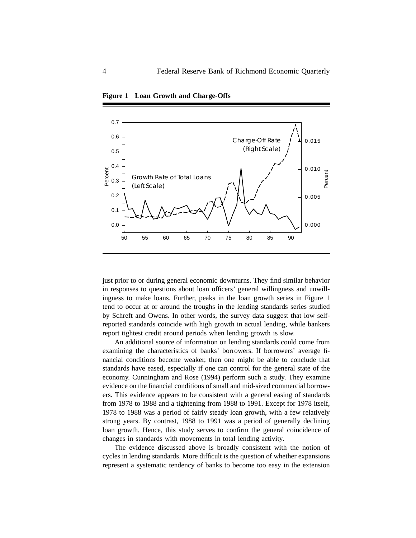

**Figure 1 Loan Growth and Charge-Offs**

just prior to or during general economic downturns. They find similar behavior in responses to questions about loan officers' general willingness and unwillingness to make loans. Further, peaks in the loan growth series in Figure 1 tend to occur at or around the troughs in the lending standards series studied by Schreft and Owens. In other words, the survey data suggest that low selfreported standards coincide with high growth in actual lending, while bankers report tightest credit around periods when lending growth is slow.

An additional source of information on lending standards could come from examining the characteristics of banks' borrowers. If borrowers' average financial conditions become weaker, then one might be able to conclude that standards have eased, especially if one can control for the general state of the economy. Cunningham and Rose (1994) perform such a study. They examine evidence on the financial conditions of small and mid-sized commercial borrowers. This evidence appears to be consistent with a general easing of standards from 1978 to 1988 and a tightening from 1988 to 1991. Except for 1978 itself, 1978 to 1988 was a period of fairly steady loan growth, with a few relatively strong years. By contrast, 1988 to 1991 was a period of generally declining loan growth. Hence, this study serves to confirm the general coincidence of changes in standards with movements in total lending activity.

The evidence discussed above is broadly consistent with the notion of cycles in lending standards. More difficult is the question of whether expansions represent a systematic tendency of banks to become too easy in the extension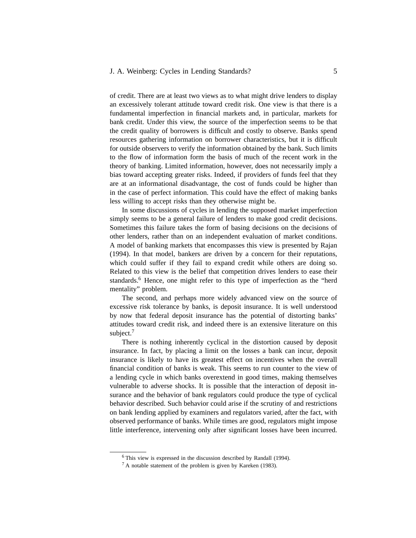of credit. There are at least two views as to what might drive lenders to display an excessively tolerant attitude toward credit risk. One view is that there is a fundamental imperfection in financial markets and, in particular, markets for bank credit. Under this view, the source of the imperfection seems to be that the credit quality of borrowers is difficult and costly to observe. Banks spend resources gathering information on borrower characteristics, but it is difficult for outside observers to verify the information obtained by the bank. Such limits to the flow of information form the basis of much of the recent work in the theory of banking. Limited information, however, does not necessarily imply a bias toward accepting greater risks. Indeed, if providers of funds feel that they are at an informational disadvantage, the cost of funds could be higher than in the case of perfect information. This could have the effect of making banks less willing to accept risks than they otherwise might be.

In some discussions of cycles in lending the supposed market imperfection simply seems to be a general failure of lenders to make good credit decisions. Sometimes this failure takes the form of basing decisions on the decisions of other lenders, rather than on an independent evaluation of market conditions. A model of banking markets that encompasses this view is presented by Rajan (1994). In that model, bankers are driven by a concern for their reputations, which could suffer if they fail to expand credit while others are doing so. Related to this view is the belief that competition drives lenders to ease their standards.<sup>6</sup> Hence, one might refer to this type of imperfection as the "herd mentality" problem.

The second, and perhaps more widely advanced view on the source of excessive risk tolerance by banks, is deposit insurance. It is well understood by now that federal deposit insurance has the potential of distorting banks' attitudes toward credit risk, and indeed there is an extensive literature on this subject.<sup>7</sup>

There is nothing inherently cyclical in the distortion caused by deposit insurance. In fact, by placing a limit on the losses a bank can incur, deposit insurance is likely to have its greatest effect on incentives when the overall financial condition of banks is weak. This seems to run counter to the view of a lending cycle in which banks overextend in good times, making themselves vulnerable to adverse shocks. It is possible that the interaction of deposit insurance and the behavior of bank regulators could produce the type of cyclical behavior described. Such behavior could arise if the scrutiny of and restrictions on bank lending applied by examiners and regulators varied, after the fact, with observed performance of banks. While times are good, regulators might impose little interference, intervening only after significant losses have been incurred.

<sup>6</sup> This view is expressed in the discussion described by Randall (1994).

<sup>7</sup> A notable statement of the problem is given by Kareken (1983).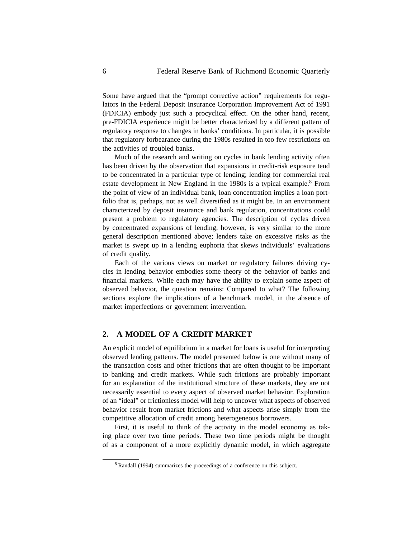Some have argued that the "prompt corrective action" requirements for regulators in the Federal Deposit Insurance Corporation Improvement Act of 1991 (FDICIA) embody just such a procyclical effect. On the other hand, recent, pre-FDICIA experience might be better characterized by a different pattern of regulatory response to changes in banks' conditions. In particular, it is possible that regulatory forbearance during the 1980s resulted in too few restrictions on the activities of troubled banks.

Much of the research and writing on cycles in bank lending activity often has been driven by the observation that expansions in credit-risk exposure tend to be concentrated in a particular type of lending; lending for commercial real estate development in New England in the 1980s is a typical example.<sup>8</sup> From the point of view of an individual bank, loan concentration implies a loan portfolio that is, perhaps, not as well diversified as it might be. In an environment characterized by deposit insurance and bank regulation, concentrations could present a problem to regulatory agencies. The description of cycles driven by concentrated expansions of lending, however, is very similar to the more general description mentioned above; lenders take on excessive risks as the market is swept up in a lending euphoria that skews individuals' evaluations of credit quality.

Each of the various views on market or regulatory failures driving cycles in lending behavior embodies some theory of the behavior of banks and financial markets. While each may have the ability to explain some aspect of observed behavior, the question remains: Compared to what? The following sections explore the implications of a benchmark model, in the absence of market imperfections or government intervention.

## **2. A MODEL OF A CREDIT MARKET**

An explicit model of equilibrium in a market for loans is useful for interpreting observed lending patterns. The model presented below is one without many of the transaction costs and other frictions that are often thought to be important to banking and credit markets. While such frictions are probably important for an explanation of the institutional structure of these markets, they are not necessarily essential to every aspect of observed market behavior. Exploration of an "ideal" or frictionless model will help to uncover what aspects of observed behavior result from market frictions and what aspects arise simply from the competitive allocation of credit among heterogeneous borrowers.

First, it is useful to think of the activity in the model economy as taking place over two time periods. These two time periods might be thought of as a component of a more explicitly dynamic model, in which aggregate

<sup>8</sup> Randall (1994) summarizes the proceedings of a conference on this subject.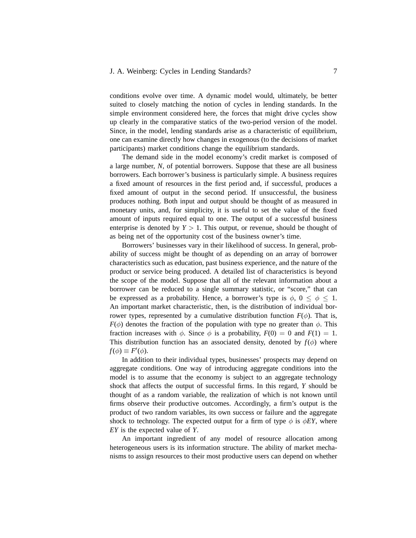#### J. A. Weinberg: Cycles in Lending Standards? 7

conditions evolve over time. A dynamic model would, ultimately, be better suited to closely matching the notion of cycles in lending standards. In the simple environment considered here, the forces that might drive cycles show up clearly in the comparative statics of the two-period version of the model. Since, in the model, lending standards arise as a characteristic of equilibrium, one can examine directly how changes in exogenous (to the decisions of market participants) market conditions change the equilibrium standards.

The demand side in the model economy's credit market is composed of a large number, *N*, of potential borrowers. Suppose that these are all business borrowers. Each borrower's business is particularly simple. A business requires a fixed amount of resources in the first period and, if successful, produces a fixed amount of output in the second period. If unsuccessful, the business produces nothing. Both input and output should be thought of as measured in monetary units, and, for simplicity, it is useful to set the value of the fixed amount of inputs required equal to one. The output of a successful business enterprise is denoted by  $Y > 1$ . This output, or revenue, should be thought of as being net of the opportunity cost of the business owner's time.

Borrowers' businesses vary in their likelihood of success. In general, probability of success might be thought of as depending on an array of borrower characteristics such as education, past business experience, and the nature of the product or service being produced. A detailed list of characteristics is beyond the scope of the model. Suppose that all of the relevant information about a borrower can be reduced to a single summary statistic, or "score," that can be expressed as a probability. Hence, a borrower's type is  $\phi$ ,  $0 \leq \phi \leq 1$ . An important market characteristic, then, is the distribution of individual borrower types, represented by a cumulative distribution function  $F(\phi)$ . That is, *F*( $\phi$ ) denotes the fraction of the population with type no greater than  $\phi$ . This fraction increases with  $\phi$ . Since  $\phi$  is a probability,  $F(0) = 0$  and  $F(1) = 1$ . This distribution function has an associated density, denoted by  $f(\phi)$  where  $f(\phi) \equiv F'(\phi)$ .

In addition to their individual types, businesses' prospects may depend on aggregate conditions. One way of introducing aggregate conditions into the model is to assume that the economy is subject to an aggregate technology shock that affects the output of successful firms. In this regard, *Y* should be thought of as a random variable, the realization of which is not known until firms observe their productive outcomes. Accordingly, a firm's output is the product of two random variables, its own success or failure and the aggregate shock to technology. The expected output for a firm of type  $\phi$  is  $\phi EY$ , where *EY* is the expected value of *Y*.

An important ingredient of any model of resource allocation among heterogeneous users is its information structure. The ability of market mechanisms to assign resources to their most productive users can depend on whether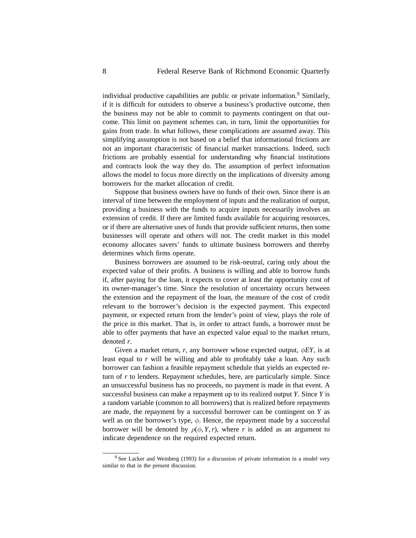individual productive capabilities are public or private information.<sup>9</sup> Similarly, if it is difficult for outsiders to observe a business's productive outcome, then the business may not be able to commit to payments contingent on that outcome. This limit on payment schemes can, in turn, limit the opportunities for gains from trade. In what follows, these complications are assumed away. This simplifying assumption is not based on a belief that informational frictions are not an important characteristic of financial market transactions. Indeed, such frictions are probably essential for understanding why financial institutions and contracts look the way they do. The assumption of perfect information allows the model to focus more directly on the implications of diversity among borrowers for the market allocation of credit.

Suppose that business owners have no funds of their own. Since there is an interval of time between the employment of inputs and the realization of output, providing a business with the funds to acquire inputs necessarily involves an extension of credit. If there are limited funds available for acquiring resources, or if there are alternative uses of funds that provide sufficient returns, then some businesses will operate and others will not. The credit market in this model economy allocates savers' funds to ultimate business borrowers and thereby determines which firms operate.

Business borrowers are assumed to be risk-neutral, caring only about the expected value of their profits. A business is willing and able to borrow funds if, after paying for the loan, it expects to cover at least the opportunity cost of its owner-manager's time. Since the resolution of uncertainty occurs between the extension and the repayment of the loan, the measure of the cost of credit relevant to the borrower's decision is the expected payment. This expected payment, or expected return from the lender's point of view, plays the role of the price in this market. That is, in order to attract funds, a borrower must be able to offer payments that have an expected value equal to the market return, denoted *r*.

Given a market return, *r*, any borrower whose expected output, *φEY*, is at least equal to *r* will be willing and able to profitably take a loan. Any such borrower can fashion a feasible repayment schedule that yields an expected return of *r* to lenders. Repayment schedules, here, are particularly simple. Since an unsuccessful business has no proceeds, no payment is made in that event. A successful business can make a repayment up to its realized output *Y*. Since *Y* is a random variable (common to all borrowers) that is realized before repayments are made, the repayment by a successful borrower can be contingent on *Y* as well as on the borrower's type, *φ*. Hence, the repayment made by a successful borrower will be denoted by  $\rho(\phi, Y, r)$ , where *r* is added as an argument to indicate dependence on the required expected return.

 $9$  See Lacker and Weinberg (1993) for a discussion of private information in a model very similar to that in the present discussion.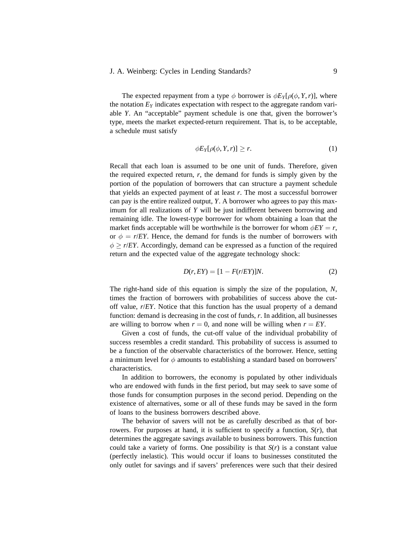The expected repayment from a type  $\phi$  borrower is  $\phi E_Y[\rho(\phi, Y, r)]$ , where the notation  $E<sub>Y</sub>$  indicates expectation with respect to the aggregate random variable *Y*. An "acceptable" payment schedule is one that, given the borrower's type, meets the market expected-return requirement. That is, to be acceptable, a schedule must satisfy

$$
\phi E_Y[\rho(\phi, Y, r)] \ge r. \tag{1}
$$

Recall that each loan is assumed to be one unit of funds. Therefore, given the required expected return,  $r$ , the demand for funds is simply given by the portion of the population of borrowers that can structure a payment schedule that yields an expected payment of at least *r*. The most a successful borrower can pay is the entire realized output, *Y*. A borrower who agrees to pay this maximum for all realizations of *Y* will be just indifferent between borrowing and remaining idle. The lowest-type borrower for whom obtaining a loan that the market finds acceptable will be worthwhile is the borrower for whom  $\phi EY = r$ , or  $\phi = r/ EY$ . Hence, the demand for funds is the number of borrowers with  $\phi$  >  $r/ EY$ . Accordingly, demand can be expressed as a function of the required return and the expected value of the aggregate technology shock:

$$
D(r, EY) = [1 - F(r/EY)]N.
$$
 (2)

The right-hand side of this equation is simply the size of the population, *N*, times the fraction of borrowers with probabilities of success above the cutoff value, *r*/*EY*. Notice that this function has the usual property of a demand function: demand is decreasing in the cost of funds, *r*. In addition, all businesses are willing to borrow when  $r = 0$ , and none will be willing when  $r = EY$ .

Given a cost of funds, the cut-off value of the individual probability of success resembles a credit standard. This probability of success is assumed to be a function of the observable characteristics of the borrower. Hence, setting a minimum level for *φ* amounts to establishing a standard based on borrowers' characteristics.

In addition to borrowers, the economy is populated by other individuals who are endowed with funds in the first period, but may seek to save some of those funds for consumption purposes in the second period. Depending on the existence of alternatives, some or all of these funds may be saved in the form of loans to the business borrowers described above.

The behavior of savers will not be as carefully described as that of borrowers. For purposes at hand, it is sufficient to specify a function,  $S(r)$ , that determines the aggregate savings available to business borrowers. This function could take a variety of forms. One possibility is that  $S(r)$  is a constant value (perfectly inelastic). This would occur if loans to businesses constituted the only outlet for savings and if savers' preferences were such that their desired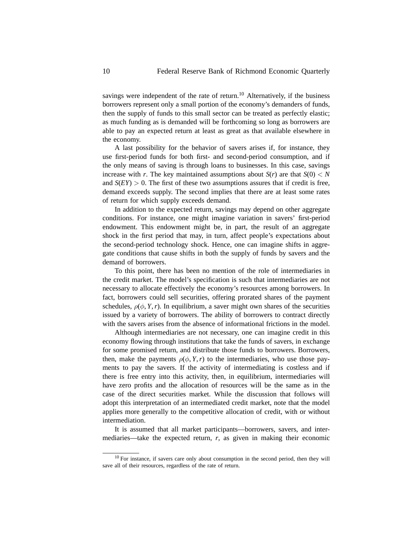savings were independent of the rate of return.<sup>10</sup> Alternatively, if the business borrowers represent only a small portion of the economy's demanders of funds, then the supply of funds to this small sector can be treated as perfectly elastic; as much funding as is demanded will be forthcoming so long as borrowers are able to pay an expected return at least as great as that available elsewhere in the economy.

A last possibility for the behavior of savers arises if, for instance, they use first-period funds for both first- and second-period consumption, and if the only means of saving is through loans to businesses. In this case, savings increase with *r*. The key maintained assumptions about  $S(r)$  are that  $S(0) < N$ and  $S(EY) > 0$ . The first of these two assumptions assures that if credit is free, demand exceeds supply. The second implies that there are at least some rates of return for which supply exceeds demand.

In addition to the expected return, savings may depend on other aggregate conditions. For instance, one might imagine variation in savers' first-period endowment. This endowment might be, in part, the result of an aggregate shock in the first period that may, in turn, affect people's expectations about the second-period technology shock. Hence, one can imagine shifts in aggregate conditions that cause shifts in both the supply of funds by savers and the demand of borrowers.

To this point, there has been no mention of the role of intermediaries in the credit market. The model's specification is such that intermediaries are not necessary to allocate effectively the economy's resources among borrowers. In fact, borrowers could sell securities, offering prorated shares of the payment schedules,  $\rho(\phi, Y, r)$ . In equilibrium, a saver might own shares of the securities issued by a variety of borrowers. The ability of borrowers to contract directly with the savers arises from the absence of informational frictions in the model.

Although intermediaries are not necessary, one can imagine credit in this economy flowing through institutions that take the funds of savers, in exchange for some promised return, and distribute those funds to borrowers. Borrowers, then, make the payments  $\rho(\phi, Y, r)$  to the intermediaries, who use those payments to pay the savers. If the activity of intermediating is costless and if there is free entry into this activity, then, in equilibrium, intermediaries will have zero profits and the allocation of resources will be the same as in the case of the direct securities market. While the discussion that follows will adopt this interpretation of an intermediated credit market, note that the model applies more generally to the competitive allocation of credit, with or without intermediation.

It is assumed that all market participants—borrowers, savers, and intermediaries—take the expected return, *r*, as given in making their economic

 $10$  For instance, if savers care only about consumption in the second period, then they will save all of their resources, regardless of the rate of return.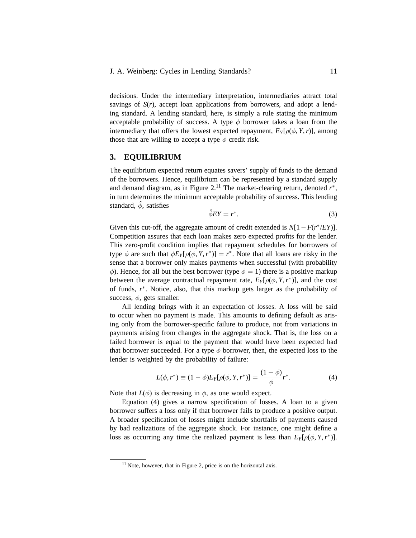decisions. Under the intermediary interpretation, intermediaries attract total savings of  $S(r)$ , accept loan applications from borrowers, and adopt a lending standard. A lending standard, here, is simply a rule stating the minimum acceptable probability of success. A type  $\phi$  borrower takes a loan from the intermediary that offers the lowest expected repayment,  $E_Y[\rho(\phi, Y, r)]$ , among those that are willing to accept a type  $\phi$  credit risk.

## **3. EQUILIBRIUM**

The equilibrium expected return equates savers' supply of funds to the demand of the borrowers. Hence, equilibrium can be represented by a standard supply and demand diagram, as in Figure  $2<sup>11</sup>$ . The market-clearing return, denoted  $r^*$ , in turn determines the minimum acceptable probability of success. This lending standard,  $\hat{\phi}$ , satisfies

$$
\hat{\phi} EY = r^*.\tag{3}
$$

Given this cut-off, the aggregate amount of credit extended is  $N[1 - F(r^*/EY)]$ . Competition assures that each loan makes zero expected profits for the lender. This zero-profit condition implies that repayment schedules for borrowers of type  $\phi$  are such that  $\phi E_Y[\rho(\phi, Y, r^*)] = r^*$ . Note that all loans are risky in the sense that a borrower only makes payments when successful (with probability *φ*). Hence, for all but the best borrower (type  $φ = 1$ ) there is a positive markup between the average contractual repayment rate,  $E_Y[\rho(\phi, Y, r^*)]$ , and the cost of funds, *r*∗. Notice, also, that this markup gets larger as the probability of success,  $\phi$ , gets smaller.

All lending brings with it an expectation of losses. A loss will be said to occur when no payment is made. This amounts to defining default as arising only from the borrower-specific failure to produce, not from variations in payments arising from changes in the aggregate shock. That is, the loss on a failed borrower is equal to the payment that would have been expected had that borrower succeeded. For a type  $\phi$  borrower, then, the expected loss to the lender is weighted by the probability of failure:

$$
L(\phi, r^*) \equiv (1 - \phi) E_Y[\rho(\phi, Y, r^*)] = \frac{(1 - \phi)}{\phi} r^*.
$$
 (4)

Note that  $L(\phi)$  is decreasing in  $\phi$ , as one would expect.

Equation (4) gives a narrow specification of losses. A loan to a given borrower suffers a loss only if that borrower fails to produce a positive output. A broader specification of losses might include shortfalls of payments caused by bad realizations of the aggregate shock. For instance, one might define a loss as occurring any time the realized payment is less than  $E_Y[\rho(\phi, Y, r^*)]$ .

 $11$  Note, however, that in Figure 2, price is on the horizontal axis.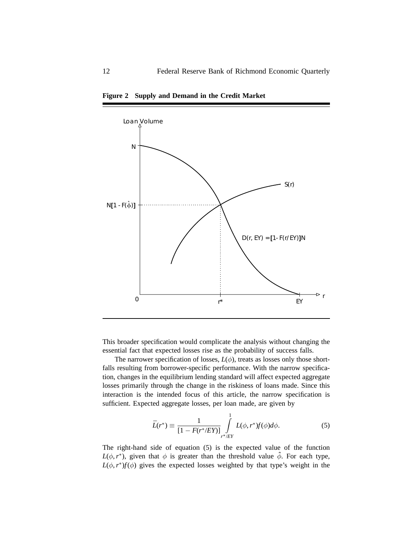

**Figure 2 Supply and Demand in the Credit Market**

This broader specification would complicate the analysis without changing the essential fact that expected losses rise as the probability of success falls.

The narrower specification of losses,  $L(\phi)$ , treats as losses only those shortfalls resulting from borrower-specific performance. With the narrow specification, changes in the equilibrium lending standard will affect expected aggregate losses primarily through the change in the riskiness of loans made. Since this interaction is the intended focus of this article, the narrow specification is sufficient. Expected aggregate losses, per loan made, are given by

$$
\bar{L}(r^*) \equiv \frac{1}{[1 - F(r^*/EY)]} \int_{r^*/EY}^{1} L(\phi, r^*) f(\phi) d\phi.
$$
 (5)

The right-hand side of equation (5) is the expected value of the function  $L(\phi, r^*)$ , given that  $\phi$  is greater than the threshold value  $\hat{\phi}$ . For each type,  $L(\phi, r^*) f(\phi)$  gives the expected losses weighted by that type's weight in the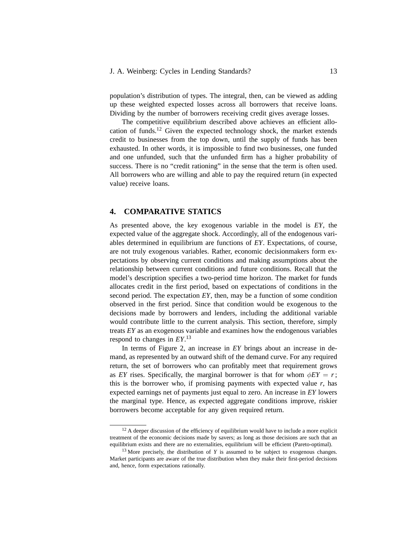population's distribution of types. The integral, then, can be viewed as adding up these weighted expected losses across all borrowers that receive loans. Dividing by the number of borrowers receiving credit gives average losses.

The competitive equilibrium described above achieves an efficient allocation of funds.12 Given the expected technology shock, the market extends credit to businesses from the top down, until the supply of funds has been exhausted. In other words, it is impossible to find two businesses, one funded and one unfunded, such that the unfunded firm has a higher probability of success. There is no "credit rationing" in the sense that the term is often used. All borrowers who are willing and able to pay the required return (in expected value) receive loans.

#### **4. COMPARATIVE STATICS**

As presented above, the key exogenous variable in the model is *EY*, the expected value of the aggregate shock. Accordingly, all of the endogenous variables determined in equilibrium are functions of *EY*. Expectations, of course, are not truly exogenous variables. Rather, economic decisionmakers form expectations by observing current conditions and making assumptions about the relationship between current conditions and future conditions. Recall that the model's description specifies a two-period time horizon. The market for funds allocates credit in the first period, based on expectations of conditions in the second period. The expectation *EY*, then, may be a function of some condition observed in the first period. Since that condition would be exogenous to the decisions made by borrowers and lenders, including the additional variable would contribute little to the current analysis. This section, therefore, simply treats *EY* as an exogenous variable and examines how the endogenous variables respond to changes in *EY*. 13

In terms of Figure 2, an increase in *EY* brings about an increase in demand, as represented by an outward shift of the demand curve. For any required return, the set of borrowers who can profitably meet that requirement grows as *EY* rises. Specifically, the marginal borrower is that for whom  $\phi EY = r$ ; this is the borrower who, if promising payments with expected value  $r$ , has expected earnings net of payments just equal to zero. An increase in *EY* lowers the marginal type. Hence, as expected aggregate conditions improve, riskier borrowers become acceptable for any given required return.

 $12$  A deeper discussion of the efficiency of equilibrium would have to include a more explicit treatment of the economic decisions made by savers; as long as those decisions are such that an equilibrium exists and there are no externalities, equilibrium will be efficient (Pareto-optimal).

<sup>&</sup>lt;sup>13</sup> More precisely, the distribution of *Y* is assumed to be subject to exogenous changes. Market participants are aware of the true distribution when they make their first-period decisions and, hence, form expectations rationally.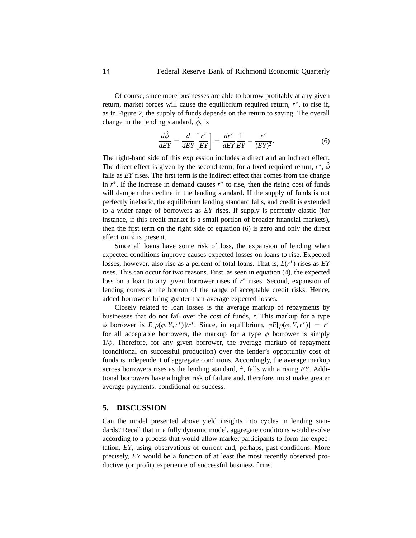Of course, since more businesses are able to borrow profitably at any given return, market forces will cause the equilibrium required return, *r*∗, to rise if, as in Figure 2, the supply of funds depends on the return to saving. The overall change in the lending standard,  $\phi$ , is

$$
\frac{d\hat{\phi}}{dEY} = \frac{d}{dEY} \left[ \frac{r^*}{EY} \right] = \frac{dr^*}{dEY} \frac{1}{EY} - \frac{r^*}{(EY)^2}.
$$
 (6)

The right-hand side of this expression includes a direct and an indirect effect. The direct effect is given by the second term; for a fixed required return,  $r^*$ ,  $\hat{\phi}$ falls as *EY* rises. The first term is the indirect effect that comes from the change in  $r^*$ . If the increase in demand causes  $r^*$  to rise, then the rising cost of funds will dampen the decline in the lending standard. If the supply of funds is not perfectly inelastic, the equilibrium lending standard falls, and credit is extended to a wider range of borrowers as *EY* rises. If supply is perfectly elastic (for instance, if this credit market is a small portion of broader financial markets), then the first term on the right side of equation (6) is zero and only the direct effect on  $\hat{\phi}$  is present.

Since all loans have some risk of loss, the expansion of lending when expected conditions improve causes expected losses on loans to rise. Expected losses, however, also rise as a percent of total loans. That is,  $\bar{L}(r^*)$  rises as *EY* rises. This can occur for two reasons. First, as seen in equation (4), the expected loss on a loan to any given borrower rises if *r*∗ rises. Second, expansion of lending comes at the bottom of the range of acceptable credit risks. Hence, added borrowers bring greater-than-average expected losses.

Closely related to loan losses is the average markup of repayments by businesses that do not fail over the cost of funds, *r*. This markup for a type *φ* borrower is  $E[\rho(\phi, Y, r^*)]/r^*$ . Since, in equilibrium,  $\phi E[\rho(\phi, Y, r^*)] = r^*$ for all acceptable borrowers, the markup for a type  $\phi$  borrower is simply 1/*φ*. Therefore, for any given borrower, the average markup of repayment (conditional on successful production) over the lender's opportunity cost of funds is independent of aggregate conditions. Accordingly, the average markup across borrowers rises as the lending standard, ˆ*τ* , falls with a rising *EY*. Additional borrowers have a higher risk of failure and, therefore, must make greater average payments, conditional on success.

#### **5. DISCUSSION**

Can the model presented above yield insights into cycles in lending standards? Recall that in a fully dynamic model, aggregate conditions would evolve according to a process that would allow market participants to form the expectation, *EY*, using observations of current and, perhaps, past conditions. More precisely, *EY* would be a function of at least the most recently observed productive (or profit) experience of successful business firms.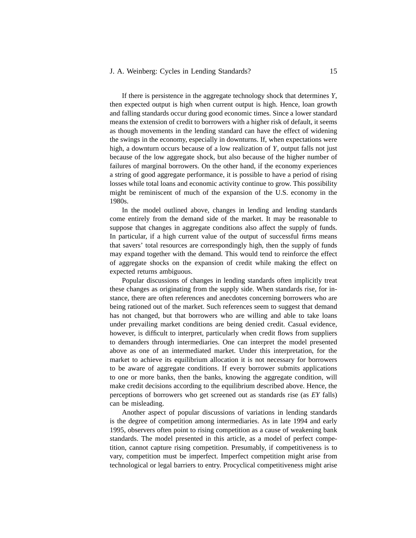#### J. A. Weinberg: Cycles in Lending Standards? 15

If there is persistence in the aggregate technology shock that determines *Y*, then expected output is high when current output is high. Hence, loan growth and falling standards occur during good economic times. Since a lower standard means the extension of credit to borrowers with a higher risk of default, it seems as though movements in the lending standard can have the effect of widening the swings in the economy, especially in downturns. If, when expectations were high, a downturn occurs because of a low realization of *Y*, output falls not just because of the low aggregate shock, but also because of the higher number of failures of marginal borrowers. On the other hand, if the economy experiences a string of good aggregate performance, it is possible to have a period of rising losses while total loans and economic activity continue to grow. This possibility might be reminiscent of much of the expansion of the U.S. economy in the 1980s.

In the model outlined above, changes in lending and lending standards come entirely from the demand side of the market. It may be reasonable to suppose that changes in aggregate conditions also affect the supply of funds. In particular, if a high current value of the output of successful firms means that savers' total resources are correspondingly high, then the supply of funds may expand together with the demand. This would tend to reinforce the effect of aggregate shocks on the expansion of credit while making the effect on expected returns ambiguous.

Popular discussions of changes in lending standards often implicitly treat these changes as originating from the supply side. When standards rise, for instance, there are often references and anecdotes concerning borrowers who are being rationed out of the market. Such references seem to suggest that demand has not changed, but that borrowers who are willing and able to take loans under prevailing market conditions are being denied credit. Casual evidence, however, is difficult to interpret, particularly when credit flows from suppliers to demanders through intermediaries. One can interpret the model presented above as one of an intermediated market. Under this interpretation, for the market to achieve its equilibrium allocation it is not necessary for borrowers to be aware of aggregate conditions. If every borrower submits applications to one or more banks, then the banks, knowing the aggregate condition, will make credit decisions according to the equilibrium described above. Hence, the perceptions of borrowers who get screened out as standards rise (as *EY* falls) can be misleading.

Another aspect of popular discussions of variations in lending standards is the degree of competition among intermediaries. As in late 1994 and early 1995, observers often point to rising competition as a cause of weakening bank standards. The model presented in this article, as a model of perfect competition, cannot capture rising competition. Presumably, if competitiveness is to vary, competition must be imperfect. Imperfect competition might arise from technological or legal barriers to entry. Procyclical competitiveness might arise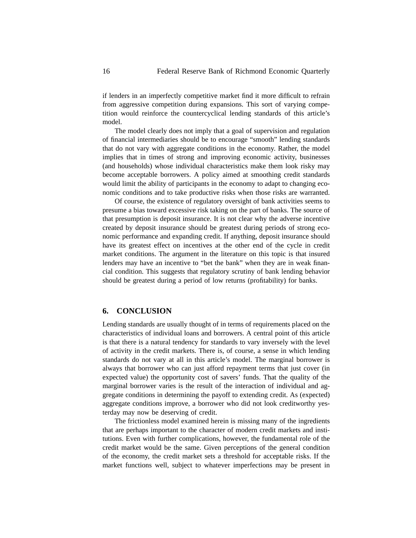if lenders in an imperfectly competitive market find it more difficult to refrain from aggressive competition during expansions. This sort of varying competition would reinforce the countercyclical lending standards of this article's model.

The model clearly does not imply that a goal of supervision and regulation of financial intermediaries should be to encourage "smooth" lending standards that do not vary with aggregate conditions in the economy. Rather, the model implies that in times of strong and improving economic activity, businesses (and households) whose individual characteristics make them look risky may become acceptable borrowers. A policy aimed at smoothing credit standards would limit the ability of participants in the economy to adapt to changing economic conditions and to take productive risks when those risks are warranted.

Of course, the existence of regulatory oversight of bank activities seems to presume a bias toward excessive risk taking on the part of banks. The source of that presumption is deposit insurance. It is not clear why the adverse incentive created by deposit insurance should be greatest during periods of strong economic performance and expanding credit. If anything, deposit insurance should have its greatest effect on incentives at the other end of the cycle in credit market conditions. The argument in the literature on this topic is that insured lenders may have an incentive to "bet the bank" when they are in weak financial condition. This suggests that regulatory scrutiny of bank lending behavior should be greatest during a period of low returns (profitability) for banks.

#### **6. CONCLUSION**

Lending standards are usually thought of in terms of requirements placed on the characteristics of individual loans and borrowers. A central point of this article is that there is a natural tendency for standards to vary inversely with the level of activity in the credit markets. There is, of course, a sense in which lending standards do not vary at all in this article's model. The marginal borrower is always that borrower who can just afford repayment terms that just cover (in expected value) the opportunity cost of savers' funds. That the quality of the marginal borrower varies is the result of the interaction of individual and aggregate conditions in determining the payoff to extending credit. As (expected) aggregate conditions improve, a borrower who did not look creditworthy yesterday may now be deserving of credit.

The frictionless model examined herein is missing many of the ingredients that are perhaps important to the character of modern credit markets and institutions. Even with further complications, however, the fundamental role of the credit market would be the same. Given perceptions of the general condition of the economy, the credit market sets a threshold for acceptable risks. If the market functions well, subject to whatever imperfections may be present in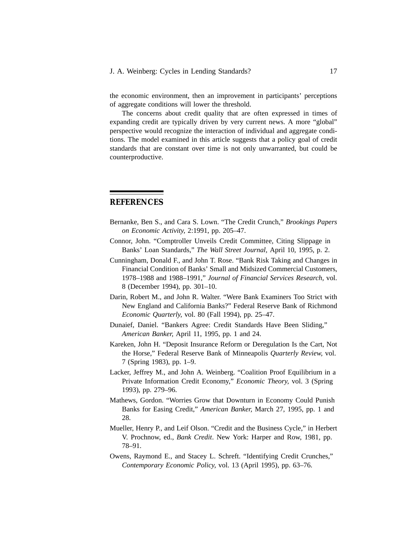the economic environment, then an improvement in participants' perceptions of aggregate conditions will lower the threshold.

The concerns about credit quality that are often expressed in times of expanding credit are typically driven by very current news. A more "global" perspective would recognize the interaction of individual and aggregate conditions. The model examined in this article suggests that a policy goal of credit standards that are constant over time is not only unwarranted, but could be counterproductive.

## **REFERENCES**

- Bernanke, Ben S., and Cara S. Lown. "The Credit Crunch," *Brookings Papers on Economic Activity,* 2:1991, pp. 205–47.
- Connor, John. "Comptroller Unveils Credit Committee, Citing Slippage in Banks' Loan Standards," *The Wall Street Journal,* April 10, 1995, p. 2.
- Cunningham, Donald F., and John T. Rose. "Bank Risk Taking and Changes in Financial Condition of Banks' Small and Midsized Commercial Customers, 1978–1988 and 1988–1991," *Journal of Financial Services Research,* vol. 8 (December 1994), pp. 301–10.
- Darin, Robert M., and John R. Walter. "Were Bank Examiners Too Strict with New England and California Banks?" Federal Reserve Bank of Richmond *Economic Quarterly,* vol. 80 (Fall 1994), pp. 25–47.
- Dunaief, Daniel. "Bankers Agree: Credit Standards Have Been Sliding," *American Banker,* April 11, 1995, pp. 1 and 24.
- Kareken, John H. "Deposit Insurance Reform or Deregulation Is the Cart, Not the Horse," Federal Reserve Bank of Minneapolis *Quarterly Review,* vol. 7 (Spring 1983), pp. 1–9.
- Lacker, Jeffrey M., and John A. Weinberg. "Coalition Proof Equilibrium in a Private Information Credit Economy," *Economic Theory,* vol. 3 (Spring 1993), pp. 279–96.
- Mathews, Gordon. "Worries Grow that Downturn in Economy Could Punish Banks for Easing Credit," *American Banker,* March 27, 1995, pp. 1 and 28.
- Mueller, Henry P., and Leif Olson. "Credit and the Business Cycle," in Herbert V. Prochnow, ed., *Bank Credit*. New York: Harper and Row, 1981, pp. 78–91.
- Owens, Raymond E., and Stacey L. Schreft. "Identifying Credit Crunches," *Contemporary Economic Policy,* vol. 13 (April 1995), pp. 63–76.